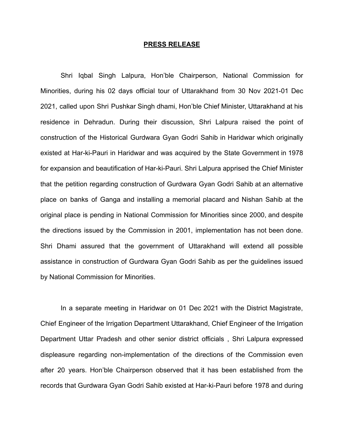## **PRESS RELEASE**

Shri Iqbal Singh Lalpura, Hon'ble Chairperson, National Commission for Minorities, during his 02 days official tour of Uttarakhand from 30 Nov 2021-01 Dec 2021, called upon Shri Pushkar Singh dhami, Hon'ble Chief Minister, Uttarakhand at his residence in Dehradun. During their discussion, Shri Lalpura raised the point of construction of the Historical Gurdwara Gyan Godri Sahib in Haridwar which originally existed at Har-ki-Pauri in Haridwar and was acquired by the State Government in 1978 for expansion and beautification of Har-ki-Pauri. Shri Lalpura apprised the Chief Minister that the petition regarding construction of Gurdwara Gyan Godri Sahib at an alternative place on banks of Ganga and installing a memorial placard and Nishan Sahib at the original place is pending in National Commission for Minorities since 2000, and despite the directions issued by the Commission in 2001, implementation has not been done. Shri Dhami assured that the government of Uttarakhand will extend all possible assistance in construction of Gurdwara Gyan Godri Sahib as per the guidelines issued by National Commission for Minorities.

In a separate meeting in Haridwar on 01 Dec 2021 with the District Magistrate, Chief Engineer of the Irrigation Department Uttarakhand, Chief Engineer of the Irrigation Department Uttar Pradesh and other senior district officials , Shri Lalpura expressed displeasure regarding non-implementation of the directions of the Commission even after 20 years. Hon'ble Chairperson observed that it has been established from the records that Gurdwara Gyan Godri Sahib existed at Har-ki-Pauri before 1978 and during